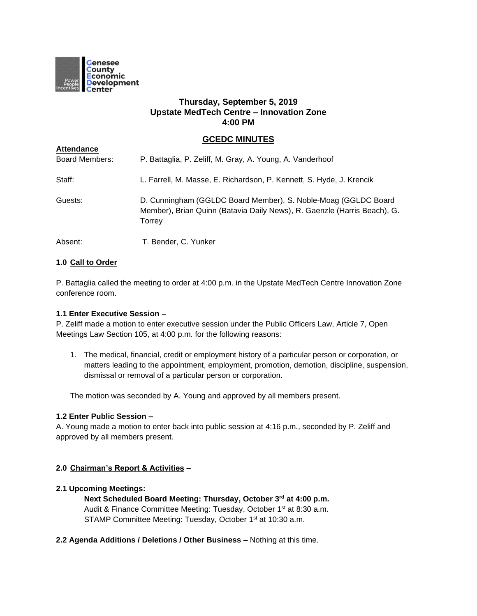

# **Thursday, September 5, 2019 Upstate MedTech Centre – Innovation Zone 4:00 PM**

# **GCEDC MINUTES**

| <b>Attendance</b>     |                                                                                                                                                      |
|-----------------------|------------------------------------------------------------------------------------------------------------------------------------------------------|
| <b>Board Members:</b> | P. Battaglia, P. Zeliff, M. Gray, A. Young, A. Vanderhoof                                                                                            |
| Staff:                | L. Farrell, M. Masse, E. Richardson, P. Kennett, S. Hyde, J. Krencik                                                                                 |
| Guests:               | D. Cunningham (GGLDC Board Member), S. Noble-Moag (GGLDC Board<br>Member), Brian Quinn (Batavia Daily News), R. Gaenzle (Harris Beach), G.<br>Torrey |
| Absent:               | T. Bender, C. Yunker                                                                                                                                 |

## **1.0 Call to Order**

P. Battaglia called the meeting to order at 4:00 p.m. in the Upstate MedTech Centre Innovation Zone conference room.

#### **1.1 Enter Executive Session –**

P. Zeliff made a motion to enter executive session under the Public Officers Law, Article 7, Open Meetings Law Section 105, at 4:00 p.m. for the following reasons:

1. The medical, financial, credit or employment history of a particular person or corporation, or matters leading to the appointment, employment, promotion, demotion, discipline, suspension, dismissal or removal of a particular person or corporation.

The motion was seconded by A. Young and approved by all members present.

### **1.2 Enter Public Session –**

A. Young made a motion to enter back into public session at 4:16 p.m., seconded by P. Zeliff and approved by all members present.

## **2.0 Chairman's Report & Activities –**

#### **2.1 Upcoming Meetings:**

**Next Scheduled Board Meeting: Thursday, October 3rd at 4:00 p.m.** Audit & Finance Committee Meeting: Tuesday, October 1<sup>st</sup> at 8:30 a.m. STAMP Committee Meeting: Tuesday, October 1<sup>st</sup> at 10:30 a.m.

**2.2 Agenda Additions / Deletions / Other Business –** Nothing at this time.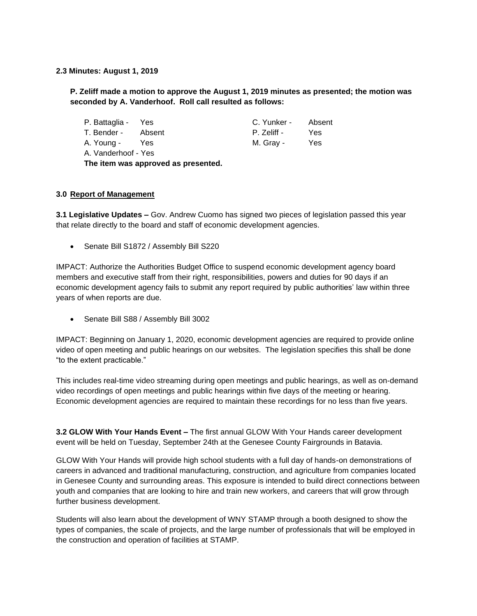### **2.3 Minutes: August 1, 2019**

# **P. Zeliff made a motion to approve the August 1, 2019 minutes as presented; the motion was seconded by A. Vanderhoof. Roll call resulted as follows:**

| P. Battaglia - Yes  |                                     | C. Yunker - | Absent |
|---------------------|-------------------------------------|-------------|--------|
| T. Bender -         | Absent                              | P. Zeliff - | Yes    |
| A. Young -          | Yes                                 | M. Gray -   | Yes    |
| A. Vanderhoof - Yes |                                     |             |        |
|                     | The item was approved as presented. |             |        |

## **3.0 Report of Management**

**3.1 Legislative Updates –** Gov. Andrew Cuomo has signed two pieces of legislation passed this year that relate directly to the board and staff of economic development agencies.

• Senate Bill S1872 / Assembly Bill S220

IMPACT: Authorize the Authorities Budget Office to suspend economic development agency board members and executive staff from their right, responsibilities, powers and duties for 90 days if an economic development agency fails to submit any report required by public authorities' law within three years of when reports are due.

• Senate Bill S88 / Assembly Bill 3002

IMPACT: Beginning on January 1, 2020, economic development agencies are required to provide online video of open meeting and public hearings on our websites. The legislation specifies this shall be done "to the extent practicable."

This includes real-time video streaming during open meetings and public hearings, as well as on-demand video recordings of open meetings and public hearings within five days of the meeting or hearing. Economic development agencies are required to maintain these recordings for no less than five years.

**3.2 GLOW With Your Hands Event –** The first annual GLOW With Your Hands career development event will be held on Tuesday, September 24th at the Genesee County Fairgrounds in Batavia.

GLOW With Your Hands will provide high school students with a full day of hands-on demonstrations of careers in advanced and traditional manufacturing, construction, and agriculture from companies located in Genesee County and surrounding areas. This exposure is intended to build direct connections between youth and companies that are looking to hire and train new workers, and careers that will grow through further business development.

Students will also learn about the development of WNY STAMP through a booth designed to show the types of companies, the scale of projects, and the large number of professionals that will be employed in the construction and operation of facilities at STAMP.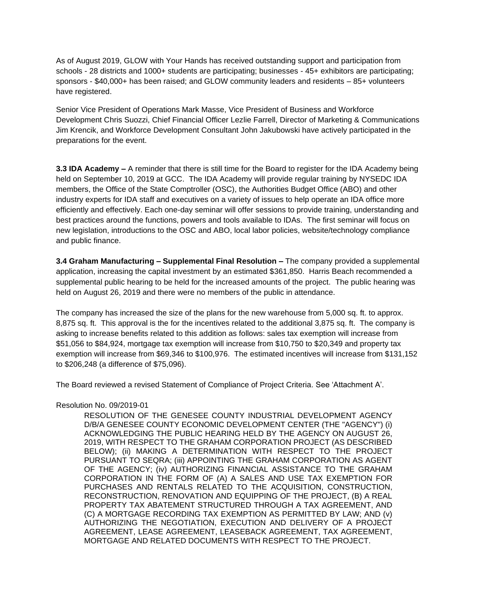As of August 2019, GLOW with Your Hands has received outstanding support and participation from schools - 28 districts and 1000+ students are participating; businesses - 45+ exhibitors are participating; sponsors - \$40,000+ has been raised; and GLOW community leaders and residents – 85+ volunteers have registered.

Senior Vice President of Operations Mark Masse, Vice President of Business and Workforce Development Chris Suozzi, Chief Financial Officer Lezlie Farrell, Director of Marketing & Communications Jim Krencik, and Workforce Development Consultant John Jakubowski have actively participated in the preparations for the event.

**3.3 IDA Academy –** A reminder that there is still time for the Board to register for the IDA Academy being held on September 10, 2019 at GCC. The IDA Academy will provide regular training by NYSEDC IDA members, the Office of the State Comptroller (OSC), the Authorities Budget Office (ABO) and other industry experts for IDA staff and executives on a variety of issues to help operate an IDA office more efficiently and effectively. Each one-day seminar will offer sessions to provide training, understanding and best practices around the functions, powers and tools available to IDAs. The first seminar will focus on new legislation, introductions to the OSC and ABO, local labor policies, website/technology compliance and public finance.

**3.4 Graham Manufacturing – Supplemental Final Resolution –** The company provided a supplemental application, increasing the capital investment by an estimated \$361,850. Harris Beach recommended a supplemental public hearing to be held for the increased amounts of the project. The public hearing was held on August 26, 2019 and there were no members of the public in attendance.

The company has increased the size of the plans for the new warehouse from 5,000 sq. ft. to approx. 8,875 sq. ft. This approval is the for the incentives related to the additional 3,875 sq. ft. The company is asking to increase benefits related to this addition as follows: sales tax exemption will increase from \$51,056 to \$84,924, mortgage tax exemption will increase from \$10,750 to \$20,349 and property tax exemption will increase from \$69,346 to \$100,976. The estimated incentives will increase from \$131,152 to \$206,248 (a difference of \$75,096).

The Board reviewed a revised Statement of Compliance of Project Criteria. See 'Attachment A'.

#### Resolution No. 09/2019-01

RESOLUTION OF THE GENESEE COUNTY INDUSTRIAL DEVELOPMENT AGENCY D/B/A GENESEE COUNTY ECONOMIC DEVELOPMENT CENTER (THE "AGENCY") (i) ACKNOWLEDGING THE PUBLIC HEARING HELD BY THE AGENCY ON AUGUST 26, 2019, WITH RESPECT TO THE GRAHAM CORPORATION PROJECT (AS DESCRIBED BELOW); (ii) MAKING A DETERMINATION WITH RESPECT TO THE PROJECT PURSUANT TO SEQRA; (iii) APPOINTING THE GRAHAM CORPORATION AS AGENT OF THE AGENCY; (iv) AUTHORIZING FINANCIAL ASSISTANCE TO THE GRAHAM CORPORATION IN THE FORM OF (A) A SALES AND USE TAX EXEMPTION FOR PURCHASES AND RENTALS RELATED TO THE ACQUISITION, CONSTRUCTION, RECONSTRUCTION, RENOVATION AND EQUIPPING OF THE PROJECT, (B) A REAL PROPERTY TAX ABATEMENT STRUCTURED THROUGH A TAX AGREEMENT, AND (C) A MORTGAGE RECORDING TAX EXEMPTION AS PERMITTED BY LAW; AND (v) AUTHORIZING THE NEGOTIATION, EXECUTION AND DELIVERY OF A PROJECT AGREEMENT, LEASE AGREEMENT, LEASEBACK AGREEMENT, TAX AGREEMENT, MORTGAGE AND RELATED DOCUMENTS WITH RESPECT TO THE PROJECT.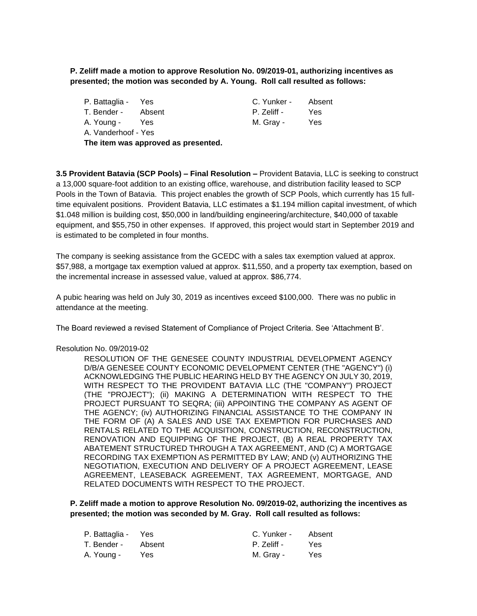# **P. Zeliff made a motion to approve Resolution No. 09/2019-01, authorizing incentives as presented; the motion was seconded by A. Young. Roll call resulted as follows:**

| P. Battaglia - Yes                  |     | C. Yunker - Absent |     |
|-------------------------------------|-----|--------------------|-----|
| T. Bender - Absent                  |     | P. Zeliff -        | Yes |
| A. Young -                          | Yes | M. Gray -          | Yes |
| A. Vanderhoof - Yes                 |     |                    |     |
| The item was approved as presented. |     |                    |     |

**3.5 Provident Batavia (SCP Pools) – Final Resolution –** Provident Batavia, LLC is seeking to construct a 13,000 square-foot addition to an existing office, warehouse, and distribution facility leased to SCP Pools in the Town of Batavia. This project enables the growth of SCP Pools, which currently has 15 fulltime equivalent positions. Provident Batavia, LLC estimates a \$1.194 million capital investment, of which \$1.048 million is building cost, \$50,000 in land/building engineering/architecture, \$40,000 of taxable equipment, and \$55,750 in other expenses. If approved, this project would start in September 2019 and is estimated to be completed in four months.

The company is seeking assistance from the GCEDC with a sales tax exemption valued at approx. \$57,988, a mortgage tax exemption valued at approx. \$11,550, and a property tax exemption, based on the incremental increase in assessed value, valued at approx. \$86,774.

A pubic hearing was held on July 30, 2019 as incentives exceed \$100,000. There was no public in attendance at the meeting.

The Board reviewed a revised Statement of Compliance of Project Criteria. See 'Attachment B'.

#### Resolution No. 09/2019-02

RESOLUTION OF THE GENESEE COUNTY INDUSTRIAL DEVELOPMENT AGENCY D/B/A GENESEE COUNTY ECONOMIC DEVELOPMENT CENTER (THE "AGENCY") (i) ACKNOWLEDGING THE PUBLIC HEARING HELD BY THE AGENCY ON JULY 30, 2019, WITH RESPECT TO THE PROVIDENT BATAVIA LLC (THE "COMPANY") PROJECT (THE "PROJECT"); (ii) MAKING A DETERMINATION WITH RESPECT TO THE PROJECT PURSUANT TO SEQRA; (iii) APPOINTING THE COMPANY AS AGENT OF THE AGENCY; (iv) AUTHORIZING FINANCIAL ASSISTANCE TO THE COMPANY IN THE FORM OF (A) A SALES AND USE TAX EXEMPTION FOR PURCHASES AND RENTALS RELATED TO THE ACQUISITION, CONSTRUCTION, RECONSTRUCTION, RENOVATION AND EQUIPPING OF THE PROJECT, (B) A REAL PROPERTY TAX ABATEMENT STRUCTURED THROUGH A TAX AGREEMENT, AND (C) A MORTGAGE RECORDING TAX EXEMPTION AS PERMITTED BY LAW; AND (v) AUTHORIZING THE NEGOTIATION, EXECUTION AND DELIVERY OF A PROJECT AGREEMENT, LEASE AGREEMENT, LEASEBACK AGREEMENT, TAX AGREEMENT, MORTGAGE, AND RELATED DOCUMENTS WITH RESPECT TO THE PROJECT.

**P. Zeliff made a motion to approve Resolution No. 09/2019-02, authorizing the incentives as presented; the motion was seconded by M. Gray. Roll call resulted as follows:**

| P. Battaglia - Yes |      | C. Yunker - | Absent     |
|--------------------|------|-------------|------------|
| T. Bender - Absent |      | P. Zeliff - | <b>Yes</b> |
| A. Young -         | Yes. | M. Grav -   | <b>Yes</b> |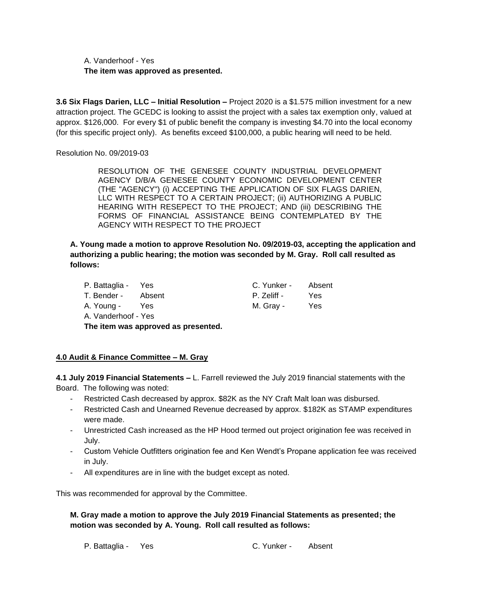A. Vanderhoof - Yes **The item was approved as presented.**

**3.6 Six Flags Darien, LLC – Initial Resolution –** Project 2020 is a \$1.575 million investment for a new attraction project. The GCEDC is looking to assist the project with a sales tax exemption only, valued at approx. \$126,000. For every \$1 of public benefit the company is investing \$4.70 into the local economy (for this specific project only). As benefits exceed \$100,000, a public hearing will need to be held.

Resolution No. 09/2019-03

RESOLUTION OF THE GENESEE COUNTY INDUSTRIAL DEVELOPMENT AGENCY D/B/A GENESEE COUNTY ECONOMIC DEVELOPMENT CENTER (THE "AGENCY") (i) ACCEPTING THE APPLICATION OF SIX FLAGS DARIEN, LLC WITH RESPECT TO A CERTAIN PROJECT; (ii) AUTHORIZING A PUBLIC HEARING WITH RESEPECT TO THE PROJECT; AND (iii) DESCRIBING THE FORMS OF FINANCIAL ASSISTANCE BEING CONTEMPLATED BY THE AGENCY WITH RESPECT TO THE PROJECT

**A. Young made a motion to approve Resolution No. 09/2019-03, accepting the application and authorizing a public hearing; the motion was seconded by M. Gray. Roll call resulted as follows:**

| P. Battaglia - Yes                  |        | C. Yunker - Absent |     |
|-------------------------------------|--------|--------------------|-----|
| T. Bender -                         | Absent | P. Zeliff -        | Yes |
| A. Young -                          | Yes    | M. Gray -          | Yes |
| A. Vanderhoof - Yes                 |        |                    |     |
| The item was approved as presented. |        |                    |     |

## **4.0 Audit & Finance Committee – M. Gray**

**4.1 July 2019 Financial Statements –** L. Farrell reviewed the July 2019 financial statements with the Board. The following was noted:

- Restricted Cash decreased by approx. \$82K as the NY Craft Malt loan was disbursed.
- Restricted Cash and Unearned Revenue decreased by approx. \$182K as STAMP expenditures were made.
- Unrestricted Cash increased as the HP Hood termed out project origination fee was received in July.
- Custom Vehicle Outfitters origination fee and Ken Wendt's Propane application fee was received in July.
- All expenditures are in line with the budget except as noted.

This was recommended for approval by the Committee.

## **M. Gray made a motion to approve the July 2019 Financial Statements as presented; the motion was seconded by A. Young. Roll call resulted as follows:**

P. Battaglia - Yes C. Yunker - Absent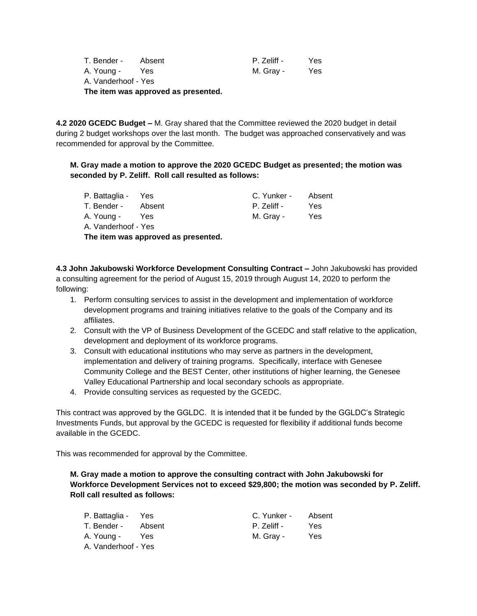|                     | The item was approved as presented. |             |     |
|---------------------|-------------------------------------|-------------|-----|
| A. Vanderhoof - Yes |                                     |             |     |
| A. Young -          | Yes                                 | M. Grav -   | Yes |
| T. Bender -         | Absent                              | P. Zeliff - | Yes |
|                     |                                     |             |     |

**4.2 2020 GCEDC Budget –** M. Gray shared that the Committee reviewed the 2020 budget in detail during 2 budget workshops over the last month. The budget was approached conservatively and was recommended for approval by the Committee.

**M. Gray made a motion to approve the 2020 GCEDC Budget as presented; the motion was seconded by P. Zeliff. Roll call resulted as follows:**

| P. Battaglia - Yes  |        | C. Yunker - | Absent |
|---------------------|--------|-------------|--------|
| T. Bender -         | Absent | P. Zeliff - | Yes    |
| A. Young -          | Yes    | M. Gray -   | Yes    |
| A. Vanderhoof - Yes |        |             |        |

**The item was approved as presented.**

**4.3 John Jakubowski Workforce Development Consulting Contract –** John Jakubowski has provided a consulting agreement for the period of August 15, 2019 through August 14, 2020 to perform the following:

- 1. Perform consulting services to assist in the development and implementation of workforce development programs and training initiatives relative to the goals of the Company and its affiliates.
- 2. Consult with the VP of Business Development of the GCEDC and staff relative to the application, development and deployment of its workforce programs.
- 3. Consult with educational institutions who may serve as partners in the development, implementation and delivery of training programs. Specifically, interface with Genesee Community College and the BEST Center, other institutions of higher learning, the Genesee Valley Educational Partnership and local secondary schools as appropriate.
- 4. Provide consulting services as requested by the GCEDC.

This contract was approved by the GGLDC. It is intended that it be funded by the GGLDC's Strategic Investments Funds, but approval by the GCEDC is requested for flexibility if additional funds become available in the GCEDC.

This was recommended for approval by the Committee.

**M. Gray made a motion to approve the consulting contract with John Jakubowski for Workforce Development Services not to exceed \$29,800; the motion was seconded by P. Zeliff. Roll call resulted as follows:**

| P. Battaglia - Yes  |            | C. Yunker - | Absent |
|---------------------|------------|-------------|--------|
| T. Bender -         | Absent     | P. Zeliff - | Yes    |
| A. Young -          | <b>Yes</b> | M. Gray -   | Yes    |
| A. Vanderhoof - Yes |            |             |        |

| C. Yunker - | Absent |
|-------------|--------|
| P. Zeliff - | Yes    |
| VI. Gray -  | Yes    |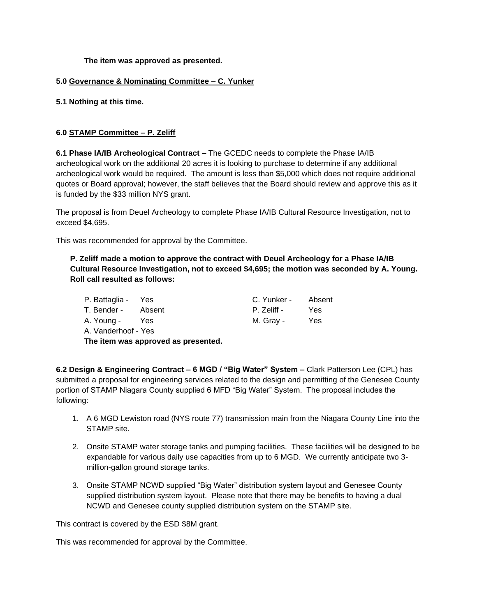**The item was approved as presented.**

## **5.0 Governance & Nominating Committee – C. Yunker**

**5.1 Nothing at this time.**

## **6.0 STAMP Committee – P. Zeliff**

**6.1 Phase IA/IB Archeological Contract –** The GCEDC needs to complete the Phase IA/IB archeological work on the additional 20 acres it is looking to purchase to determine if any additional archeological work would be required. The amount is less than \$5,000 which does not require additional quotes or Board approval; however, the staff believes that the Board should review and approve this as it is funded by the \$33 million NYS grant.

The proposal is from Deuel Archeology to complete Phase IA/IB Cultural Resource Investigation, not to exceed \$4,695.

This was recommended for approval by the Committee.

**P. Zeliff made a motion to approve the contract with Deuel Archeology for a Phase IA/IB Cultural Resource Investigation, not to exceed \$4,695; the motion was seconded by A. Young. Roll call resulted as follows:**

| P. Battaglia - Yes  |            | C. Yunker - | Absent |
|---------------------|------------|-------------|--------|
| T. Bender -         | Absent     | P. Zeliff - | Yes    |
| A. Young -          | <b>Yes</b> | M. Gray -   | Yes    |
| A. Vanderhoof - Yes |            |             |        |

**The item was approved as presented.**

**6.2 Design & Engineering Contract – 6 MGD / "Big Water" System –** Clark Patterson Lee (CPL) has submitted a proposal for engineering services related to the design and permitting of the Genesee County portion of STAMP Niagara County supplied 6 MFD "Big Water" System. The proposal includes the following:

- 1. A 6 MGD Lewiston road (NYS route 77) transmission main from the Niagara County Line into the STAMP site.
- 2. Onsite STAMP water storage tanks and pumping facilities. These facilities will be designed to be expandable for various daily use capacities from up to 6 MGD. We currently anticipate two 3 million-gallon ground storage tanks.
- 3. Onsite STAMP NCWD supplied "Big Water" distribution system layout and Genesee County supplied distribution system layout. Please note that there may be benefits to having a dual NCWD and Genesee county supplied distribution system on the STAMP site.

This contract is covered by the ESD \$8M grant.

This was recommended for approval by the Committee.